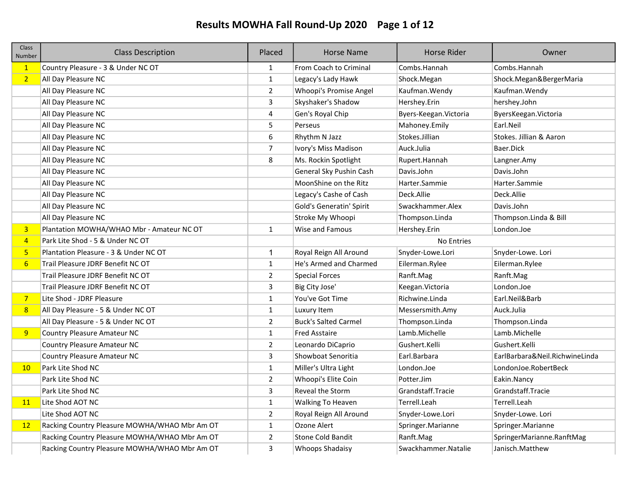# Results MOWHA Fall Round-Up 2020 Page 1 of 12

| Class<br>Number | <b>Class Description</b>                      | Placed         | <b>Horse Name</b>           | <b>Horse Rider</b>     | Owner                          |
|-----------------|-----------------------------------------------|----------------|-----------------------------|------------------------|--------------------------------|
| $\mathbf{1}$    | Country Pleasure - 3 & Under NC OT            | $\mathbf{1}$   | From Coach to Criminal      | Combs.Hannah           | Combs.Hannah                   |
| 2 <sup>1</sup>  | All Day Pleasure NC                           | $\mathbf{1}$   | Legacy's Lady Hawk          | Shock.Megan            | Shock.Megan&BergerMaria        |
|                 | All Day Pleasure NC                           | $\overline{2}$ | Whoopi's Promise Angel      | Kaufman. Wendy         | Kaufman. Wendy                 |
|                 | All Day Pleasure NC                           | 3              | Skyshaker's Shadow          | Hershey.Erin           | hershey.John                   |
|                 | All Day Pleasure NC                           | 4              | Gen's Royal Chip            | Byers-Keegan. Victoria | ByersKeegan. Victoria          |
|                 | All Day Pleasure NC                           | 5              | Perseus                     | Mahoney.Emily          | Earl.Neil                      |
|                 | All Day Pleasure NC                           | 6              | Rhythm N Jazz               | Stokes.Jillian         | Stokes. Jillian & Aaron        |
|                 | All Day Pleasure NC                           | $\overline{7}$ | Ivory's Miss Madison        | Auck.Julia             | Baer.Dick                      |
|                 | All Day Pleasure NC                           | 8              | Ms. Rockin Spotlight        | Rupert.Hannah          | Langner.Amy                    |
|                 | All Day Pleasure NC                           |                | General Sky Pushin Cash     | Davis.John             | Davis.John                     |
|                 | All Day Pleasure NC                           |                | MoonShine on the Ritz       | Harter.Sammie          | Harter.Sammie                  |
|                 | All Day Pleasure NC                           |                | Legacy's Cashe of Cash      | Deck.Allie             | Deck.Allie                     |
|                 | All Day Pleasure NC                           |                | Gold's Generatin' Spirit    | Swackhammer.Alex       | Davis.John                     |
|                 | All Day Pleasure NC                           |                | Stroke My Whoopi            | Thompson.Linda         | Thompson.Linda & Bill          |
| 3 <sup>2</sup>  | Plantation MOWHA/WHAO Mbr - Amateur NC OT     | $\mathbf{1}$   | Wise and Famous             | Hershey.Erin           | London.Joe                     |
| $\overline{4}$  | Park Lite Shod - 5 & Under NC OT              |                |                             | No Entries             |                                |
| $5\phantom{.0}$ | Plantation Pleasure - 3 & Under NC OT         | 1              | Royal Reign All Around      | Snyder-Lowe.Lori       | Snyder-Lowe. Lori              |
| $6\overline{6}$ | Trail Pleasure JDRF Benefit NC OT             | $\mathbf{1}$   | He's Armed and Charmed      | Eilerman.Rylee         | Eilerman.Rylee                 |
|                 | Trail Pleasure JDRF Benefit NC OT             | $\overline{2}$ | <b>Special Forces</b>       | Ranft.Mag              | Ranft.Mag                      |
|                 | Trail Pleasure JDRF Benefit NC OT             | 3              | Big City Jose'              | Keegan. Victoria       | London.Joe                     |
| $\overline{7}$  | Lite Shod - JDRF Pleasure                     | $\mathbf{1}$   | You've Got Time             | Richwine.Linda         | Earl.Neil&Barb                 |
| 8               | All Day Pleasure - 5 & Under NC OT            | $\mathbf{1}$   | Luxury Item                 | Messersmith.Amy        | Auck.Julia                     |
|                 | All Day Pleasure - 5 & Under NC OT            | $\overline{2}$ | <b>Buck's Salted Carmel</b> | Thompson.Linda         | Thompson.Linda                 |
| 9               | Country Pleasure Amateur NC                   | $\mathbf{1}$   | <b>Fred Asstaire</b>        | Lamb.Michelle          | Lamb.Michelle                  |
|                 | <b>Country Pleasure Amateur NC</b>            | $\overline{2}$ | Leonardo DiCaprio           | Gushert.Kelli          | Gushert.Kelli                  |
|                 | <b>Country Pleasure Amateur NC</b>            | 3              | Showboat Senoritia          | Earl.Barbara           | EarlBarbara&Neil.RichwineLinda |
| 10              | Park Lite Shod NC                             | $\mathbf{1}$   | Miller's Ultra Light        | London.Joe             | LondonJoe.RobertBeck           |
|                 | Park Lite Shod NC                             | $\overline{2}$ | Whoopi's Elite Coin         | Potter.Jim             | Eakin.Nancy                    |
|                 | Park Lite Shod NC                             | 3              | Reveal the Storm            | Grandstaff.Tracie      | Grandstaff.Tracie              |
| 11              | Lite Shod AOT NC                              | $\mathbf{1}$   | Walking To Heaven           | Terrell.Leah           | Terrell.Leah                   |
|                 | Lite Shod AOT NC                              | $\overline{2}$ | Royal Reign All Around      | Snyder-Lowe.Lori       | Snyder-Lowe. Lori              |
| 12 <sup>2</sup> | Racking Country Pleasure MOWHA/WHAO Mbr Am OT | $\mathbf{1}$   | Ozone Alert                 | Springer.Marianne      | Springer.Marianne              |
|                 | Racking Country Pleasure MOWHA/WHAO Mbr Am OT | $\overline{2}$ | <b>Stone Cold Bandit</b>    | Ranft.Mag              | SpringerMarianne.RanftMag      |
|                 | Racking Country Pleasure MOWHA/WHAO Mbr Am OT | 3              | Whoops Shadaisy             | Swackhammer.Natalie    | Janisch.Matthew                |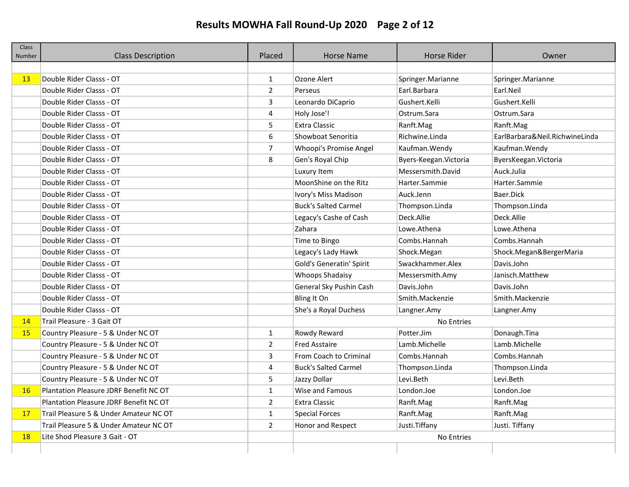# Results MOWHA Fall Round-Up 2020 Page 2 of 12

| <b>Class</b><br>Number | <b>Class Description</b>                      | Placed         | <b>Horse Name</b>               | <b>Horse Rider</b>     | Owner                          |
|------------------------|-----------------------------------------------|----------------|---------------------------------|------------------------|--------------------------------|
|                        |                                               |                |                                 |                        |                                |
| 13                     | Double Rider Classs - OT                      | $\mathbf{1}$   | Ozone Alert                     | Springer. Marianne     | Springer.Marianne              |
|                        | Double Rider Classs - OT                      | $\overline{2}$ | Perseus                         | Earl.Barbara           | Earl.Neil                      |
|                        | Double Rider Classs - OT                      | 3              | Leonardo DiCaprio               | Gushert.Kelli          | Gushert.Kelli                  |
|                        | Double Rider Classs - OT                      | 4              | Holy Jose'!                     | Ostrum.Sara            | Ostrum.Sara                    |
|                        | Double Rider Classs - OT                      | 5              | <b>Extra Classic</b>            | Ranft.Mag              | Ranft.Mag                      |
|                        | Double Rider Classs - OT                      | 6              | Showboat Senoritia              | Richwine.Linda         | EarlBarbara&Neil.RichwineLinda |
|                        | Double Rider Classs - OT                      | $\overline{7}$ | Whoopi's Promise Angel          | Kaufman. Wendy         | Kaufman. Wendy                 |
|                        | Double Rider Classs - OT                      | 8              | Gen's Royal Chip                | Byers-Keegan. Victoria | ByersKeegan. Victoria          |
|                        | Double Rider Classs - OT                      |                | Luxury Item                     | Messersmith.David      | Auck.Julia                     |
|                        | Double Rider Classs - OT                      |                | MoonShine on the Ritz           | Harter.Sammie          | Harter.Sammie                  |
|                        | Double Rider Classs - OT                      |                | Ivory's Miss Madison            | Auck.Jenn              | Baer.Dick                      |
|                        | Double Rider Classs - OT                      |                | <b>Buck's Salted Carmel</b>     | Thompson.Linda         | Thompson.Linda                 |
|                        | Double Rider Classs - OT                      |                | Legacy's Cashe of Cash          | Deck.Allie             | Deck.Allie                     |
|                        | Double Rider Classs - OT                      |                | Zahara                          | Lowe.Athena            | Lowe.Athena                    |
|                        | Double Rider Classs - OT                      |                | Time to Bingo                   | Combs.Hannah           | Combs.Hannah                   |
|                        | Double Rider Classs - OT                      |                | Legacy's Lady Hawk              | Shock.Megan            | Shock.Megan&BergerMaria        |
|                        | Double Rider Classs - OT                      |                | <b>Gold's Generatin' Spirit</b> | Swackhammer.Alex       | Davis.John                     |
|                        | Double Rider Classs - OT                      |                | <b>Whoops Shadaisy</b>          | Messersmith.Amy        | Janisch.Matthew                |
|                        | Double Rider Classs - OT                      |                | General Sky Pushin Cash         | Davis.John             | Davis.John                     |
|                        | Double Rider Classs - OT                      |                | Bling It On                     | Smith.Mackenzie        | Smith.Mackenzie                |
|                        | Double Rider Classs - OT                      |                | She's a Royal Duchess           | Langner.Amy            | Langner.Amy                    |
| 14                     | Trail Pleasure - 3 Gait OT                    |                |                                 | <b>No Entries</b>      |                                |
| 15 <sub>1</sub>        | Country Pleasure - 5 & Under NC OT            | $\mathbf{1}$   | Rowdy Reward                    | Potter.Jim             | Donaugh.Tina                   |
|                        | Country Pleasure - 5 & Under NC OT            | $\overline{2}$ | <b>Fred Asstaire</b>            | Lamb.Michelle          | Lamb.Michelle                  |
|                        | Country Pleasure - 5 & Under NC OT            | 3              | From Coach to Criminal          | Combs.Hannah           | Combs.Hannah                   |
|                        | Country Pleasure - 5 & Under NC OT            | 4              | <b>Buck's Salted Carmel</b>     | Thompson.Linda         | Thompson.Linda                 |
|                        | Country Pleasure - 5 & Under NC OT            | 5              | Jazzy Dollar                    | Levi.Beth              | Levi.Beth                      |
| 16                     | <b>Plantation Pleasure JDRF Benefit NC OT</b> | $\mathbf{1}$   | Wise and Famous                 | London.Joe             | London.Joe                     |
|                        | Plantation Pleasure JDRF Benefit NC OT        | $\overline{2}$ | <b>Extra Classic</b>            | Ranft.Mag              | Ranft.Mag                      |
| 17                     | Trail Pleasure 5 & Under Amateur NC OT        | $\mathbf{1}$   | <b>Special Forces</b>           | Ranft.Mag              | Ranft.Mag                      |
|                        | Trail Pleasure 5 & Under Amateur NC OT        | $\overline{2}$ | Honor and Respect               | Justi.Tiffany          | Justi. Tiffany                 |
| <b>18</b>              | Lite Shod Pleasure 3 Gait - OT                |                |                                 | No Entries             |                                |
|                        |                                               |                |                                 |                        |                                |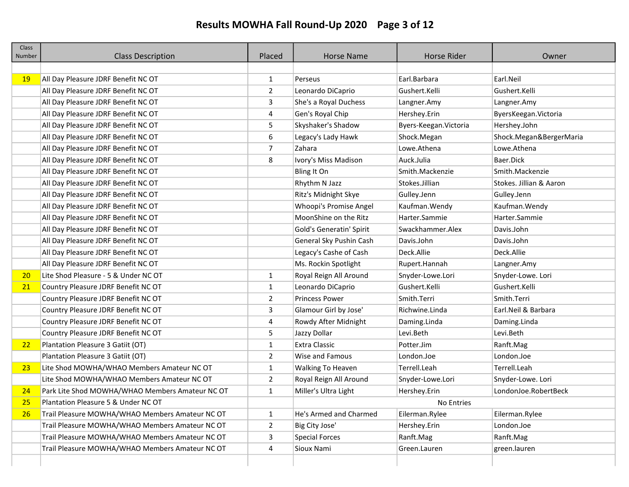# Results MOWHA Fall Round-Up 2020 Page 3 of 12

| <b>Class</b><br>Number | <b>Class Description</b>                        | Placed         | <b>Horse Name</b>        | <b>Horse Rider</b>     | Owner                   |
|------------------------|-------------------------------------------------|----------------|--------------------------|------------------------|-------------------------|
|                        |                                                 |                |                          |                        |                         |
| 19                     | All Day Pleasure JDRF Benefit NC OT             | 1              | Perseus                  | Earl.Barbara           | Earl.Neil               |
|                        | All Day Pleasure JDRF Benefit NC OT             | $\overline{2}$ | Leonardo DiCaprio        | Gushert.Kelli          | Gushert.Kelli           |
|                        | All Day Pleasure JDRF Benefit NC OT             | 3              | She's a Royal Duchess    | Langner.Amy            | Langner.Amy             |
|                        | All Day Pleasure JDRF Benefit NC OT             | 4              | Gen's Royal Chip         | Hershey.Erin           | ByersKeegan. Victoria   |
|                        | All Day Pleasure JDRF Benefit NC OT             | 5              | Skyshaker's Shadow       | Byers-Keegan. Victoria | Hershey.John            |
|                        | All Day Pleasure JDRF Benefit NC OT             | 6              | Legacy's Lady Hawk       | Shock.Megan            | Shock.Megan&BergerMaria |
|                        | All Day Pleasure JDRF Benefit NC OT             | 7              | Zahara                   | Lowe.Athena            | Lowe.Athena             |
|                        | All Day Pleasure JDRF Benefit NC OT             | 8              | Ivory's Miss Madison     | Auck.Julia             | Baer.Dick               |
|                        | All Day Pleasure JDRF Benefit NC OT             |                | Bling It On              | Smith.Mackenzie        | Smith.Mackenzie         |
|                        | All Day Pleasure JDRF Benefit NC OT             |                | Rhythm N Jazz            | Stokes.Jillian         | Stokes. Jillian & Aaron |
|                        | All Day Pleasure JDRF Benefit NC OT             |                | Ritz's Midnight Skye     | Gulley.Jenn            | Gulley.Jenn             |
|                        | All Day Pleasure JDRF Benefit NC OT             |                | Whoopi's Promise Angel   | Kaufman. Wendy         | Kaufman. Wendy          |
|                        | All Day Pleasure JDRF Benefit NC OT             |                | MoonShine on the Ritz    | Harter.Sammie          | Harter.Sammie           |
|                        | All Day Pleasure JDRF Benefit NC OT             |                | Gold's Generatin' Spirit | Swackhammer.Alex       | Davis.John              |
|                        | All Day Pleasure JDRF Benefit NC OT             |                | General Sky Pushin Cash  | Davis.John             | Davis.John              |
|                        | All Day Pleasure JDRF Benefit NC OT             |                | Legacy's Cashe of Cash   | Deck.Allie             | Deck.Allie              |
|                        | All Day Pleasure JDRF Benefit NC OT             |                | Ms. Rockin Spotlight     | Rupert.Hannah          | Langner.Amy             |
| 20                     | Lite Shod Pleasure - 5 & Under NC OT            | 1              | Royal Reign All Around   | Snyder-Lowe.Lori       | Snyder-Lowe. Lori       |
| 21                     | Country Pleasure JDRF Benefit NC OT             | 1              | Leonardo DiCaprio        | Gushert.Kelli          | Gushert.Kelli           |
|                        | Country Pleasure JDRF Benefit NC OT             | 2              | <b>Princess Power</b>    | Smith.Terri            | Smith.Terri             |
|                        | Country Pleasure JDRF Benefit NC OT             | 3              | Glamour Girl by Jose'    | Richwine.Linda         | Earl.Neil & Barbara     |
|                        | Country Pleasure JDRF Benefit NC OT             | 4              | Rowdy After Midnight     | Daming.Linda           | Daming.Linda            |
|                        | Country Pleasure JDRF Benefit NC OT             | 5              | Jazzy Dollar             | Levi.Beth              | Levi.Beth               |
| 22                     | Plantation Pleasure 3 Gatiit (OT)               | $\mathbf{1}$   | <b>Extra Classic</b>     | Potter.Jim             | Ranft.Mag               |
|                        | Plantation Pleasure 3 Gatiit (OT)               | 2              | Wise and Famous          | London.Joe             | London.Joe              |
| 23                     | Lite Shod MOWHA/WHAO Members Amateur NC OT      | 1              | Walking To Heaven        | Terrell.Leah           | Terrell.Leah            |
|                        | Lite Shod MOWHA/WHAO Members Amateur NC OT      | 2              | Royal Reign All Around   | Snyder-Lowe.Lori       | Snyder-Lowe. Lori       |
| 24                     | Park Lite Shod MOWHA/WHAO Members Amateur NC OT | $\mathbf{1}$   | Miller's Ultra Light     | Hershey.Erin           | LondonJoe.RobertBeck    |
| <u>25</u>              | Plantation Pleasure 5 & Under NC OT             |                |                          | No Entries             |                         |
| 26                     | Trail Pleasure MOWHA/WHAO Members Amateur NC OT | 1              | He's Armed and Charmed   | Eilerman.Rylee         | Eilerman.Rylee          |
|                        | Trail Pleasure MOWHA/WHAO Members Amateur NC OT | 2              | Big City Jose'           | Hershey.Erin           | London.Joe              |
|                        | Trail Pleasure MOWHA/WHAO Members Amateur NC OT | 3              | <b>Special Forces</b>    | Ranft.Mag              | Ranft.Mag               |
|                        | Trail Pleasure MOWHA/WHAO Members Amateur NC OT | 4              | Sioux Nami               | Green.Lauren           | green.lauren            |
|                        |                                                 |                |                          |                        |                         |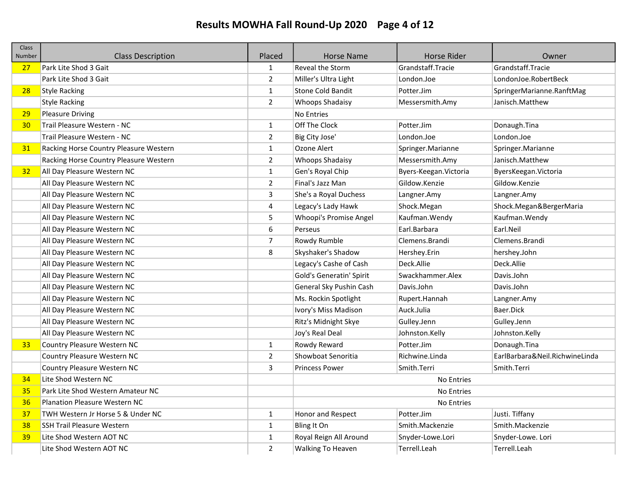## Results MOWHA Fall Round-Up 2020 Page 4 of 12

| <b>Class</b><br>Number | <b>Class Description</b>               | Placed         | <b>Horse Name</b>        | Horse Rider            | Owner                          |
|------------------------|----------------------------------------|----------------|--------------------------|------------------------|--------------------------------|
| 27                     | Park Lite Shod 3 Gait                  | $\mathbf{1}$   | Reveal the Storm         | Grandstaff.Tracie      | Grandstaff.Tracie              |
|                        | Park Lite Shod 3 Gait                  | $\overline{2}$ | Miller's Ultra Light     | London.Joe             | LondonJoe.RobertBeck           |
| 28                     | <b>Style Racking</b>                   | $\mathbf{1}$   | <b>Stone Cold Bandit</b> | Potter.Jim             | SpringerMarianne.RanftMag      |
|                        | <b>Style Racking</b>                   | $\overline{2}$ | <b>Whoops Shadaisy</b>   | Messersmith.Amy        | Janisch.Matthew                |
| 29                     | <b>Pleasure Driving</b>                |                | <b>No Entries</b>        |                        |                                |
| 30 <sub>1</sub>        | Trail Pleasure Western - NC            | $\mathbf{1}$   | Off The Clock            | Potter.Jim             | Donaugh.Tina                   |
|                        | Trail Pleasure Western - NC            | $\overline{2}$ | Big City Jose'           | London.Joe             | London.Joe                     |
| 31                     | Racking Horse Country Pleasure Western | $\mathbf{1}$   | Ozone Alert              | Springer.Marianne      | Springer.Marianne              |
|                        | Racking Horse Country Pleasure Western | $\overline{2}$ | Whoops Shadaisy          | Messersmith.Amy        | Janisch.Matthew                |
| 32                     | All Day Pleasure Western NC            | $\mathbf{1}$   | Gen's Royal Chip         | Byers-Keegan. Victoria | ByersKeegan. Victoria          |
|                        | All Day Pleasure Western NC            | $\overline{2}$ | Final's Jazz Man         | Gildow.Kenzie          | Gildow.Kenzie                  |
|                        | All Day Pleasure Western NC            | $\overline{3}$ | She's a Royal Duchess    | Langner.Amy            | Langner.Amy                    |
|                        | All Day Pleasure Western NC            | $\overline{4}$ | Legacy's Lady Hawk       | Shock.Megan            | Shock.Megan&BergerMaria        |
|                        | All Day Pleasure Western NC            | 5              | Whoopi's Promise Angel   | Kaufman. Wendy         | Kaufman. Wendy                 |
|                        | All Day Pleasure Western NC            | 6              | Perseus                  | Earl.Barbara           | Earl.Neil                      |
|                        | All Day Pleasure Western NC            | $\overline{7}$ | Rowdy Rumble             | Clemens.Brandi         | Clemens.Brandi                 |
|                        | All Day Pleasure Western NC            | 8              | Skyshaker's Shadow       | Hershey.Erin           | hershey.John                   |
|                        | All Day Pleasure Western NC            |                | Legacy's Cashe of Cash   | Deck.Allie             | Deck.Allie                     |
|                        | All Day Pleasure Western NC            |                | Gold's Generatin' Spirit | Swackhammer.Alex       | Davis.John                     |
|                        | All Day Pleasure Western NC            |                | General Sky Pushin Cash  | Davis.John             | Davis.John                     |
|                        | All Day Pleasure Western NC            |                | Ms. Rockin Spotlight     | Rupert.Hannah          | Langner.Amy                    |
|                        | All Day Pleasure Western NC            |                | Ivory's Miss Madison     | Auck.Julia             | Baer.Dick                      |
|                        | All Day Pleasure Western NC            |                | Ritz's Midnight Skye     | Gulley.Jenn            | Gulley.Jenn                    |
|                        | All Day Pleasure Western NC            |                | Joy's Real Deal          | Johnston.Kelly         | Johnston.Kelly                 |
| 33 <sup>°</sup>        | Country Pleasure Western NC            | $\mathbf{1}$   | Rowdy Reward             | Potter.Jim             | Donaugh.Tina                   |
|                        | Country Pleasure Western NC            | $\overline{2}$ | Showboat Senoritia       | Richwine.Linda         | EarlBarbara&Neil.RichwineLinda |
|                        | Country Pleasure Western NC            | 3              | <b>Princess Power</b>    | Smith.Terri            | Smith.Terri                    |
| 34                     | Lite Shod Western NC                   |                |                          | No Entries             |                                |
| 35                     | Park Lite Shod Western Amateur NC      |                |                          | No Entries             |                                |
| 36                     | <b>Planation Pleasure Western NC</b>   |                |                          | No Entries             |                                |
| 37                     | TWH Western Jr Horse 5 & Under NC      | $\mathbf{1}$   | Honor and Respect        | Potter.Jim             | Justi. Tiffany                 |
| 38                     | <b>SSH Trail Pleasure Western</b>      | $\mathbf{1}$   | Bling It On              | Smith.Mackenzie        | Smith.Mackenzie                |
| 39                     | Lite Shod Western AOT NC               | $\mathbf{1}$   | Royal Reign All Around   | Snyder-Lowe.Lori       | Snyder-Lowe. Lori              |
|                        | Lite Shod Western AOT NC               | $\overline{2}$ | <b>Walking To Heaven</b> | Terrell.Leah           | Terrell.Leah                   |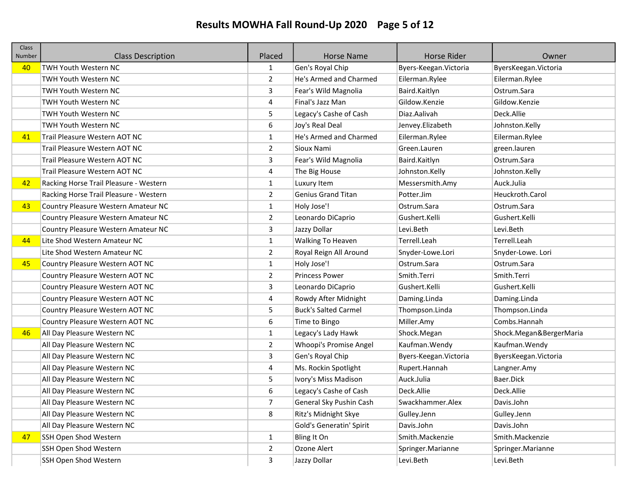# Results MOWHA Fall Round-Up 2020 Page 5 of 12

| <b>Class</b><br>Number | <b>Class Description</b>               | Placed         | <b>Horse Name</b>           | <b>Horse Rider</b>     | Owner                   |
|------------------------|----------------------------------------|----------------|-----------------------------|------------------------|-------------------------|
| 40                     | <b>TWH Youth Western NC</b>            | 1              | Gen's Royal Chip            | Byers-Keegan. Victoria | ByersKeegan. Victoria   |
|                        | <b>TWH Youth Western NC</b>            | $\overline{2}$ | He's Armed and Charmed      | Eilerman.Rylee         | Eilerman.Rylee          |
|                        | TWH Youth Western NC                   | 3              | Fear's Wild Magnolia        | Baird.Kaitlyn          | Ostrum.Sara             |
|                        | <b>TWH Youth Western NC</b>            | 4              | Final's Jazz Man            | Gildow.Kenzie          | Gildow.Kenzie           |
|                        | <b>TWH Youth Western NC</b>            | 5              | Legacy's Cashe of Cash      | Diaz.Aalivah           | Deck.Allie              |
|                        | <b>TWH Youth Western NC</b>            | 6              | Joy's Real Deal             | Jenvey.Elizabeth       | Johnston.Kelly          |
| 41                     | Trail Pleasure Western AOT NC          | $\mathbf{1}$   | He's Armed and Charmed      | Eilerman.Rylee         | Eilerman.Rylee          |
|                        | Trail Pleasure Western AOT NC          | $\overline{2}$ | Sioux Nami                  | Green.Lauren           | green.lauren            |
|                        | Trail Pleasure Western AOT NC          | 3              | Fear's Wild Magnolia        | Baird.Kaitlyn          | Ostrum.Sara             |
|                        | Trail Pleasure Western AOT NC          | 4              | The Big House               | Johnston.Kelly         | Johnston.Kelly          |
| 42                     | Racking Horse Trail Pleasure - Western | $\mathbf{1}$   | Luxury Item                 | Messersmith.Amy        | Auck.Julia              |
|                        | Racking Horse Trail Pleasure - Western | $\overline{2}$ | <b>Genius Grand Titan</b>   | Potter.Jim             | Heuckroth.Carol         |
| 43                     | Country Pleasure Western Amateur NC    | $\mathbf{1}$   | Holy Jose'!                 | Ostrum.Sara            | Ostrum. Sara            |
|                        | Country Pleasure Western Amateur NC    | $\overline{2}$ | Leonardo DiCaprio           | Gushert.Kelli          | Gushert.Kelli           |
|                        | Country Pleasure Western Amateur NC    | 3              | Jazzy Dollar                | Levi.Beth              | Levi.Beth               |
| 44                     | Lite Shod Western Amateur NC           | $\mathbf{1}$   | <b>Walking To Heaven</b>    | Terrell.Leah           | Terrell.Leah            |
|                        | Lite Shod Western Amateur NC           | $\overline{2}$ | Royal Reign All Around      | Snyder-Lowe.Lori       | Snyder-Lowe. Lori       |
| 45                     | Country Pleasure Western AOT NC        | $\mathbf{1}$   | Holy Jose'!                 | Ostrum.Sara            | Ostrum.Sara             |
|                        | Country Pleasure Western AOT NC        | $\overline{2}$ | <b>Princess Power</b>       | Smith.Terri            | Smith.Terri             |
|                        | Country Pleasure Western AOT NC        | 3              | Leonardo DiCaprio           | Gushert.Kelli          | Gushert.Kelli           |
|                        | Country Pleasure Western AOT NC        | 4              | Rowdy After Midnight        | Daming.Linda           | Daming.Linda            |
|                        | Country Pleasure Western AOT NC        | 5              | <b>Buck's Salted Carmel</b> | Thompson.Linda         | Thompson.Linda          |
|                        | Country Pleasure Western AOT NC        | 6              | Time to Bingo               | Miller.Amy             | Combs.Hannah            |
| 46                     | All Day Pleasure Western NC            | $\mathbf{1}$   | Legacy's Lady Hawk          | Shock.Megan            | Shock.Megan&BergerMaria |
|                        | All Day Pleasure Western NC            | $\overline{2}$ | Whoopi's Promise Angel      | Kaufman.Wendy          | Kaufman. Wendy          |
|                        | All Day Pleasure Western NC            | 3              | Gen's Royal Chip            | Byers-Keegan. Victoria | ByersKeegan. Victoria   |
|                        | All Day Pleasure Western NC            | 4              | Ms. Rockin Spotlight        | Rupert.Hannah          | Langner.Amy             |
|                        | All Day Pleasure Western NC            | 5              | Ivory's Miss Madison        | Auck.Julia             | Baer.Dick               |
|                        | All Day Pleasure Western NC            | 6              | Legacy's Cashe of Cash      | Deck.Allie             | Deck.Allie              |
|                        | All Day Pleasure Western NC            | 7              | General Sky Pushin Cash     | Swackhammer.Alex       | Davis.John              |
|                        | All Day Pleasure Western NC            | 8              | Ritz's Midnight Skye        | Gulley.Jenn            | Gulley.Jenn             |
|                        | All Day Pleasure Western NC            |                | Gold's Generatin' Spirit    | Davis.John             | Davis.John              |
| 47                     | <b>SSH Open Shod Western</b>           | $\mathbf{1}$   | Bling It On                 | Smith.Mackenzie        | Smith.Mackenzie         |
|                        | SSH Open Shod Western                  | $\overline{2}$ | Ozone Alert                 | Springer.Marianne      | Springer.Marianne       |
|                        | SSH Open Shod Western                  | 3              | Jazzy Dollar                | Levi.Beth              | Levi.Beth               |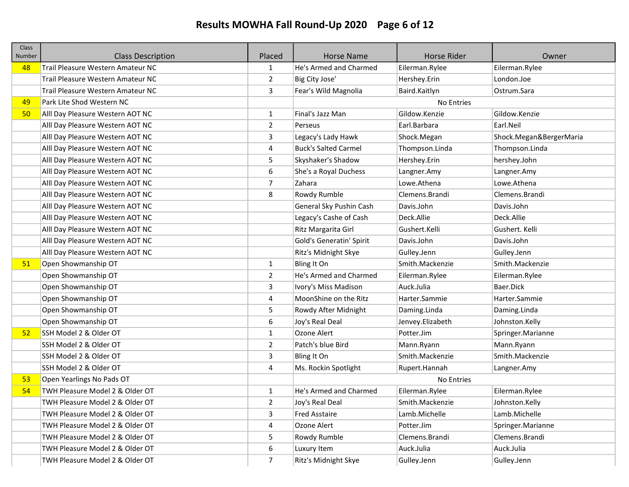# Results MOWHA Fall Round-Up 2020 Page 6 of 12

| <b>Class</b><br>Number | <b>Class Description</b>          | Placed         | <b>Horse Name</b>           | <b>Horse Rider</b> | Owner                   |
|------------------------|-----------------------------------|----------------|-----------------------------|--------------------|-------------------------|
| 48                     | Trail Pleasure Western Amateur NC | 1              | He's Armed and Charmed      | Eilerman.Rylee     | Eilerman.Rylee          |
|                        | Trail Pleasure Western Amateur NC | $\overline{2}$ | Big City Jose'              | Hershey.Erin       | London.Joe              |
|                        | Trail Pleasure Western Amateur NC | 3              | Fear's Wild Magnolia        | Baird.Kaitlyn      | Ostrum.Sara             |
| 49                     | Park Lite Shod Western NC         |                |                             | No Entries         |                         |
| 50                     | Alll Day Pleasure Western AOT NC  | $\mathbf{1}$   | Final's Jazz Man            | Gildow.Kenzie      | Gildow.Kenzie           |
|                        | Alll Day Pleasure Western AOT NC  | $\overline{2}$ | Perseus                     | Earl.Barbara       | Earl.Neil               |
|                        | Alll Day Pleasure Western AOT NC  | 3              | Legacy's Lady Hawk          | Shock.Megan        | Shock.Megan&BergerMaria |
|                        | Alll Day Pleasure Western AOT NC  | 4              | <b>Buck's Salted Carmel</b> | Thompson.Linda     | Thompson.Linda          |
|                        | Alll Day Pleasure Western AOT NC  | 5              | Skyshaker's Shadow          | Hershey.Erin       | hershey.John            |
|                        | Alll Day Pleasure Western AOT NC  | 6              | She's a Royal Duchess       | Langner.Amy        | Langner.Amy             |
|                        | Alll Day Pleasure Western AOT NC  | $\overline{7}$ | Zahara                      | Lowe.Athena        | Lowe.Athena             |
|                        | Alll Day Pleasure Western AOT NC  | 8              | Rowdy Rumble                | Clemens.Brandi     | Clemens.Brandi          |
|                        | Alll Day Pleasure Western AOT NC  |                | General Sky Pushin Cash     | Davis.John         | Davis.John              |
|                        | Alll Day Pleasure Western AOT NC  |                | Legacy's Cashe of Cash      | Deck.Allie         | Deck.Allie              |
|                        | Alll Day Pleasure Western AOT NC  |                | Ritz Margarita Girl         | Gushert.Kelli      | Gushert. Kelli          |
|                        | Alll Day Pleasure Western AOT NC  |                | Gold's Generatin' Spirit    | Davis.John         | Davis.John              |
|                        | Alll Day Pleasure Western AOT NC  |                | Ritz's Midnight Skye        | Gulley.Jenn        | Gulley.Jenn             |
| 51                     | Open Showmanship OT               | $\mathbf{1}$   | Bling It On                 | Smith.Mackenzie    | Smith.Mackenzie         |
|                        | Open Showmanship OT               | $\overline{2}$ | He's Armed and Charmed      | Eilerman.Rylee     | Eilerman.Rylee          |
|                        | Open Showmanship OT               | 3              | Ivory's Miss Madison        | Auck.Julia         | Baer.Dick               |
|                        | Open Showmanship OT               | 4              | MoonShine on the Ritz       | Harter.Sammie      | Harter.Sammie           |
|                        | Open Showmanship OT               | 5              | Rowdy After Midnight        | Daming.Linda       | Daming.Linda            |
|                        | Open Showmanship OT               | 6              | Joy's Real Deal             | Jenvey.Elizabeth   | Johnston.Kelly          |
| 52                     | SSH Model 2 & Older OT            | $\mathbf{1}$   | Ozone Alert                 | Potter.Jim         | Springer.Marianne       |
|                        | SSH Model 2 & Older OT            | $\overline{2}$ | Patch's blue Bird           | Mann.Ryann         | Mann.Ryann              |
|                        | SSH Model 2 & Older OT            | 3              | Bling It On                 | Smith.Mackenzie    | Smith.Mackenzie         |
|                        | SSH Model 2 & Older OT            | 4              | Ms. Rockin Spotlight        | Rupert.Hannah      | Langner.Amy             |
| 53                     | Open Yearlings No Pads OT         |                |                             | No Entries         |                         |
| 54                     | TWH Pleasure Model 2 & Older OT   | $\mathbf{1}$   | He's Armed and Charmed      | Eilerman.Rylee     | Eilerman.Rylee          |
|                        | TWH Pleasure Model 2 & Older OT   | 2              | Joy's Real Deal             | Smith.Mackenzie    | Johnston.Kelly          |
|                        | TWH Pleasure Model 2 & Older OT   | 3              | <b>Fred Asstaire</b>        | Lamb.Michelle      | Lamb.Michelle           |
|                        | TWH Pleasure Model 2 & Older OT   | 4              | Ozone Alert                 | Potter.Jim         | Springer.Marianne       |
|                        | TWH Pleasure Model 2 & Older OT   | 5              | Rowdy Rumble                | Clemens.Brandi     | Clemens.Brandi          |
|                        | TWH Pleasure Model 2 & Older OT   | 6              | Luxury Item                 | Auck.Julia         | Auck.Julia              |
|                        | TWH Pleasure Model 2 & Older OT   | 7              | Ritz's Midnight Skye        | Gulley.Jenn        | Gulley.Jenn             |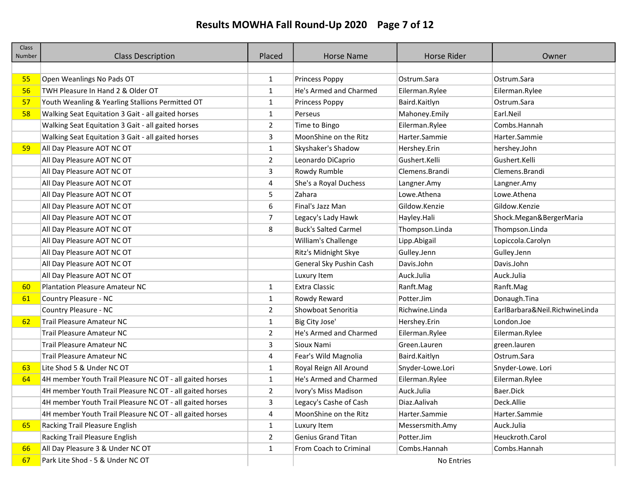# Results MOWHA Fall Round-Up 2020 Page 7 of 12

| <b>Class</b><br>Number | <b>Class Description</b>                                 | Placed         | <b>Horse Name</b>           | <b>Horse Rider</b> | Owner                          |
|------------------------|----------------------------------------------------------|----------------|-----------------------------|--------------------|--------------------------------|
|                        |                                                          |                |                             |                    |                                |
| 55                     | Open Weanlings No Pads OT                                | $\mathbf{1}$   | <b>Princess Poppy</b>       | Ostrum.Sara        | Ostrum.Sara                    |
| 56                     | TWH Pleasure In Hand 2 & Older OT                        | $\mathbf{1}$   | He's Armed and Charmed      | Eilerman.Rylee     | Eilerman.Rylee                 |
| 57                     | Youth Weanling & Yearling Stallions Permitted OT         | $\mathbf{1}$   | Princess Poppy              | Baird.Kaitlyn      | Ostrum.Sara                    |
| 58                     | Walking Seat Equitation 3 Gait - all gaited horses       | $\mathbf{1}$   | Perseus                     | Mahoney.Emily      | Earl.Neil                      |
|                        | Walking Seat Equitation 3 Gait - all gaited horses       | 2              | Time to Bingo               | Eilerman.Rylee     | Combs.Hannah                   |
|                        | Walking Seat Equitation 3 Gait - all gaited horses       | 3              | MoonShine on the Ritz       | Harter.Sammie      | Harter.Sammie                  |
| 59                     | All Day Pleasure AOT NC OT                               | 1              | Skyshaker's Shadow          | Hershey.Erin       | hershey.John                   |
|                        | All Day Pleasure AOT NC OT                               | $\overline{2}$ | Leonardo DiCaprio           | Gushert.Kelli      | Gushert.Kelli                  |
|                        | All Day Pleasure AOT NC OT                               | 3              | Rowdy Rumble                | Clemens.Brandi     | Clemens.Brandi                 |
|                        | All Day Pleasure AOT NC OT                               | 4              | She's a Royal Duchess       | Langner.Amy        | Langner.Amy                    |
|                        | All Day Pleasure AOT NC OT                               | 5              | Zahara                      | Lowe.Athena        | Lowe.Athena                    |
|                        | All Day Pleasure AOT NC OT                               | 6              | Final's Jazz Man            | Gildow.Kenzie      | Gildow.Kenzie                  |
|                        | All Day Pleasure AOT NC OT                               | 7              | Legacy's Lady Hawk          | Hayley.Hali        | Shock.Megan&BergerMaria        |
|                        | All Day Pleasure AOT NC OT                               | 8              | <b>Buck's Salted Carmel</b> | Thompson.Linda     | Thompson.Linda                 |
|                        | All Day Pleasure AOT NC OT                               |                | William's Challenge         | Lipp.Abigail       | Lopiccola.Carolyn              |
|                        | All Day Pleasure AOT NC OT                               |                | Ritz's Midnight Skye        | Gulley.Jenn        | Gulley.Jenn                    |
|                        | All Day Pleasure AOT NC OT                               |                | General Sky Pushin Cash     | Davis.John         | Davis.John                     |
|                        | All Day Pleasure AOT NC OT                               |                | Luxury Item                 | Auck.Julia         | Auck.Julia                     |
| 60                     | <b>Plantation Pleasure Amateur NC</b>                    | 1              | <b>Extra Classic</b>        | Ranft.Mag          | Ranft.Mag                      |
| 61                     | Country Pleasure - NC                                    | 1              | Rowdy Reward                | Potter.Jim         | Donaugh.Tina                   |
|                        | Country Pleasure - NC                                    | $\overline{2}$ | Showboat Senoritia          | Richwine.Linda     | EarlBarbara&Neil.RichwineLinda |
| 62                     | <b>Trail Pleasure Amateur NC</b>                         | $\mathbf{1}$   | Big City Jose'              | Hershey.Erin       | London.Joe                     |
|                        | <b>Trail Pleasure Amateur NC</b>                         | $\overline{2}$ | He's Armed and Charmed      | Eilerman.Rylee     | Eilerman.Rylee                 |
|                        | <b>Trail Pleasure Amateur NC</b>                         | 3              | Sioux Nami                  | Green.Lauren       | green.lauren                   |
|                        | Trail Pleasure Amateur NC                                | 4              | Fear's Wild Magnolia        | Baird.Kaitlyn      | Ostrum.Sara                    |
| 63                     | Lite Shod 5 & Under NC OT                                | 1              | Royal Reign All Around      | Snyder-Lowe.Lori   | Snyder-Lowe. Lori              |
| 64                     | 4H member Youth Trail Pleasure NC OT - all gaited horses | $\mathbf{1}$   | He's Armed and Charmed      | Eilerman.Rylee     | Eilerman.Rylee                 |
|                        | 4H member Youth Trail Pleasure NC OT - all gaited horses | $\overline{2}$ | Ivory's Miss Madison        | Auck.Julia         | Baer.Dick                      |
|                        | 4H member Youth Trail Pleasure NC OT - all gaited horses | 3              | Legacy's Cashe of Cash      | Diaz.Aalivah       | Deck.Allie                     |
|                        | 4H member Youth Trail Pleasure NC OT - all gaited horses | 4              | MoonShine on the Ritz       | Harter.Sammie      | Harter.Sammie                  |
| 65                     | Racking Trail Pleasure English                           | 1              | Luxury Item                 | Messersmith.Amy    | Auck.Julia                     |
|                        | Racking Trail Pleasure English                           | $\overline{2}$ | <b>Genius Grand Titan</b>   | Potter.Jim         | Heuckroth.Carol                |
| 66                     | All Day Pleasure 3 & Under NC OT                         | 1              | From Coach to Criminal      | Combs.Hannah       | Combs.Hannah                   |
| 67                     | Park Lite Shod - 5 & Under NC OT                         |                |                             | No Entries         |                                |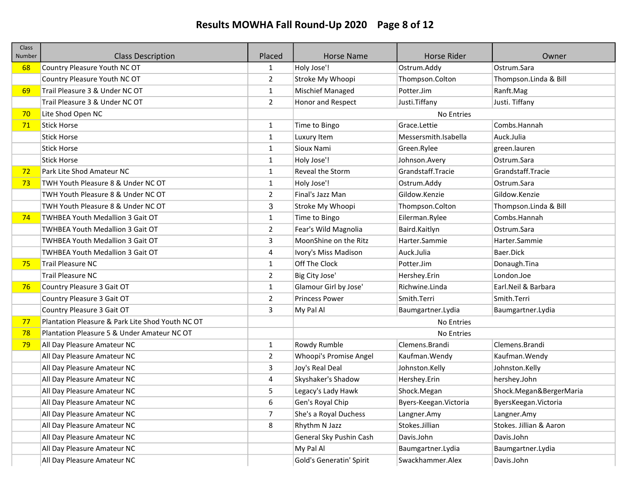# Results MOWHA Fall Round-Up 2020 Page 8 of 12

| <b>Class</b><br>Number | <b>Class Description</b>                         | Placed         | <b>Horse Name</b>        | <b>Horse Rider</b>     | Owner                   |
|------------------------|--------------------------------------------------|----------------|--------------------------|------------------------|-------------------------|
| 68                     | Country Pleasure Youth NC OT                     | 1              | Holy Jose'!              | Ostrum.Addy            | Ostrum.Sara             |
|                        | Country Pleasure Youth NC OT                     | $\overline{2}$ | Stroke My Whoopi         | Thompson.Colton        | Thompson.Linda & Bill   |
| 69                     | Trail Pleasure 3 & Under NC OT                   | $\mathbf{1}$   | Mischief Managed         | Potter.Jim             | Ranft.Mag               |
|                        | Trail Pleasure 3 & Under NC OT                   | $\overline{2}$ | Honor and Respect        | Justi.Tiffany          | Justi. Tiffany          |
| 70                     | Lite Shod Open NC                                |                |                          | No Entries             |                         |
| 71                     | <b>Stick Horse</b>                               | $\mathbf{1}$   | Time to Bingo            | Grace.Lettie           | Combs.Hannah            |
|                        | <b>Stick Horse</b>                               | $\mathbf{1}$   | Luxury Item              | Messersmith.Isabella   | Auck.Julia              |
|                        | <b>Stick Horse</b>                               | 1              | Sioux Nami               | Green.Rylee            | green.lauren            |
|                        | <b>Stick Horse</b>                               | $\mathbf{1}$   | Holy Jose'!              | Johnson.Avery          | Ostrum.Sara             |
| 72                     | Park Lite Shod Amateur NC                        | $\mathbf{1}$   | Reveal the Storm         | Grandstaff.Tracie      | Grandstaff.Tracie       |
| 73                     | TWH Youth Pleasure 8 & Under NC OT               | $\mathbf{1}$   | Holy Jose'!              | Ostrum.Addy            | Ostrum.Sara             |
|                        | TWH Youth Pleasure 8 & Under NC OT               | $\overline{2}$ | Final's Jazz Man         | Gildow.Kenzie          | Gildow.Kenzie           |
|                        | TWH Youth Pleasure 8 & Under NC OT               | 3              | Stroke My Whoopi         | Thompson.Colton        | Thompson.Linda & Bill   |
| 74                     | TWHBEA Youth Medallion 3 Gait OT                 | $\mathbf{1}$   | Time to Bingo            | Eilerman.Rylee         | Combs.Hannah            |
|                        | <b>TWHBEA Youth Medallion 3 Gait OT</b>          | $\overline{2}$ | Fear's Wild Magnolia     | Baird.Kaitlyn          | Ostrum. Sara            |
|                        | <b>TWHBEA Youth Medallion 3 Gait OT</b>          | 3              | MoonShine on the Ritz    | Harter.Sammie          | Harter.Sammie           |
|                        | <b>TWHBEA Youth Medallion 3 Gait OT</b>          | 4              | Ivory's Miss Madison     | Auck.Julia             | Baer.Dick               |
| 75                     | <b>Trail Pleasure NC</b>                         | $\mathbf{1}$   | Off The Clock            | Potter.Jim             | Donaugh.Tina            |
|                        | <b>Trail Pleasure NC</b>                         | $\overline{2}$ | Big City Jose'           | Hershey.Erin           | London.Joe              |
| 76                     | Country Pleasure 3 Gait OT                       | $\mathbf{1}$   | Glamour Girl by Jose'    | Richwine.Linda         | Earl.Neil & Barbara     |
|                        | Country Pleasure 3 Gait OT                       | $\overline{2}$ | <b>Princess Power</b>    | Smith.Terri            | Smith.Terri             |
|                        | Country Pleasure 3 Gait OT                       | 3              | My Pal Al                | Baumgartner.Lydia      | Baumgartner.Lydia       |
| 77                     | Plantation Pleasure & Park Lite Shod Youth NC OT |                |                          | No Entries             |                         |
| 78                     | Plantation Pleasure 5 & Under Amateur NC OT      |                |                          | No Entries             |                         |
| 79                     | All Day Pleasure Amateur NC                      | $\mathbf{1}$   | Rowdy Rumble             | Clemens.Brandi         | Clemens.Brandi          |
|                        | All Day Pleasure Amateur NC                      | $\overline{2}$ | Whoopi's Promise Angel   | Kaufman. Wendy         | Kaufman. Wendy          |
|                        | All Day Pleasure Amateur NC                      | 3              | Joy's Real Deal          | Johnston.Kelly         | Johnston.Kelly          |
|                        | All Day Pleasure Amateur NC                      | 4              | Skyshaker's Shadow       | Hershey.Erin           | hershey.John            |
|                        | All Day Pleasure Amateur NC                      | 5              | Legacy's Lady Hawk       | Shock.Megan            | Shock.Megan&BergerMaria |
|                        | All Day Pleasure Amateur NC                      | 6              | Gen's Royal Chip         | Byers-Keegan. Victoria | ByersKeegan. Victoria   |
|                        | All Day Pleasure Amateur NC                      | $\overline{7}$ | She's a Royal Duchess    | Langner.Amy            | Langner.Amy             |
|                        | All Day Pleasure Amateur NC                      | 8              | Rhythm N Jazz            | Stokes.Jillian         | Stokes. Jillian & Aaron |
|                        | All Day Pleasure Amateur NC                      |                | General Sky Pushin Cash  | Davis.John             | Davis.John              |
|                        | All Day Pleasure Amateur NC                      |                | My Pal Al                | Baumgartner.Lydia      | Baumgartner.Lydia       |
|                        | All Day Pleasure Amateur NC                      |                | Gold's Generatin' Spirit | Swackhammer.Alex       | Davis.John              |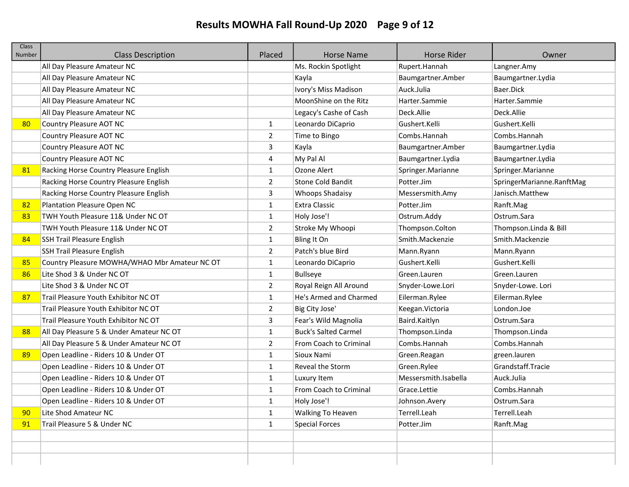# Results MOWHA Fall Round-Up 2020 Page 9 of 12

| Class<br>Number | <b>Class Description</b>                      | Placed         | <b>Horse Name</b>           | Horse Rider          | Owner                     |
|-----------------|-----------------------------------------------|----------------|-----------------------------|----------------------|---------------------------|
|                 | All Day Pleasure Amateur NC                   |                | Ms. Rockin Spotlight        | Rupert.Hannah        | Langner.Amy               |
|                 | All Day Pleasure Amateur NC                   |                | Kayla                       | Baumgartner.Amber    | Baumgartner.Lydia         |
|                 | All Day Pleasure Amateur NC                   |                | Ivory's Miss Madison        | Auck.Julia           | Baer.Dick                 |
|                 | All Day Pleasure Amateur NC                   |                | MoonShine on the Ritz       | Harter.Sammie        | Harter.Sammie             |
|                 | All Day Pleasure Amateur NC                   |                | Legacy's Cashe of Cash      | Deck.Allie           | Deck.Allie                |
| 80              | Country Pleasure AOT NC                       | 1              | Leonardo DiCaprio           | Gushert.Kelli        | Gushert.Kelli             |
|                 | Country Pleasure AOT NC                       | 2              | Time to Bingo               | Combs.Hannah         | Combs.Hannah              |
|                 | Country Pleasure AOT NC                       | 3              | Kayla                       | Baumgartner.Amber    | Baumgartner.Lydia         |
|                 | Country Pleasure AOT NC                       | 4              | My Pal Al                   | Baumgartner.Lydia    | Baumgartner.Lydia         |
| 81              | Racking Horse Country Pleasure English        | $\mathbf{1}$   | Ozone Alert                 | Springer.Marianne    | Springer.Marianne         |
|                 | Racking Horse Country Pleasure English        | $\overline{2}$ | <b>Stone Cold Bandit</b>    | Potter.Jim           | SpringerMarianne.RanftMag |
|                 | Racking Horse Country Pleasure English        | 3              | Whoops Shadaisy             | Messersmith.Amy      | Janisch.Matthew           |
| 82              | Plantation Pleasure Open NC                   | $\mathbf{1}$   | <b>Extra Classic</b>        | Potter.Jim           | Ranft.Mag                 |
| 83              | TWH Youth Pleasure 11& Under NC OT            | 1              | Holy Jose'!                 | Ostrum.Addy          | Ostrum.Sara               |
|                 | TWH Youth Pleasure 11& Under NC OT            | $\overline{2}$ | Stroke My Whoopi            | Thompson.Colton      | Thompson.Linda & Bill     |
| 84              | <b>SSH Trail Pleasure English</b>             | $\mathbf{1}$   | Bling It On                 | Smith.Mackenzie      | Smith.Mackenzie           |
|                 | <b>SSH Trail Pleasure English</b>             | $\overline{2}$ | Patch's blue Bird           | Mann.Ryann           | Mann.Ryann                |
| 85              | Country Pleasure MOWHA/WHAO Mbr Amateur NC OT | $\mathbf{1}$   | Leonardo DiCaprio           | Gushert.Kelli        | Gushert.Kelli             |
| 86              | Lite Shod 3 & Under NC OT                     | $\mathbf{1}$   | Bullseye                    | Green.Lauren         | Green.Lauren              |
|                 | Lite Shod 3 & Under NC OT                     | 2              | Royal Reign All Around      | Snyder-Lowe.Lori     | Snyder-Lowe. Lori         |
| 87              | Trail Pleasure Youth Exhibitor NC OT          | 1              | He's Armed and Charmed      | Eilerman.Rylee       | Eilerman.Rylee            |
|                 | Trail Pleasure Youth Exhibitor NC OT          | 2              | Big City Jose'              | Keegan. Victoria     | London.Joe                |
|                 | Trail Pleasure Youth Exhibitor NC OT          | 3              | Fear's Wild Magnolia        | Baird.Kaitlyn        | Ostrum.Sara               |
| 88              | All Day Pleasure 5 & Under Amateur NC OT      | 1              | <b>Buck's Salted Carmel</b> | Thompson.Linda       | Thompson.Linda            |
|                 | All Day Pleasure 5 & Under Amateur NC OT      | $\overline{2}$ | From Coach to Criminal      | Combs.Hannah         | Combs.Hannah              |
| 89              | Open Leadline - Riders 10 & Under OT          | 1              | Sioux Nami                  | Green.Reagan         | green.lauren              |
|                 | Open Leadline - Riders 10 & Under OT          | 1              | Reveal the Storm            | Green.Rylee          | Grandstaff.Tracie         |
|                 | Open Leadline - Riders 10 & Under OT          | 1              | Luxury Item                 | Messersmith.Isabella | Auck.Julia                |
|                 | Open Leadline - Riders 10 & Under OT          | $\mathbf{1}$   | From Coach to Criminal      | Grace.Lettie         | Combs.Hannah              |
|                 | Open Leadline - Riders 10 & Under OT          | 1              | Holy Jose'!                 | Johnson.Avery        | Ostrum.Sara               |
| 90              | Lite Shod Amateur NC                          | $\mathbf{1}$   | Walking To Heaven           | Terrell.Leah         | Terrell.Leah              |
| 91              | Trail Pleasure 5 & Under NC                   | $\mathbf{1}$   | <b>Special Forces</b>       | Potter.Jim           | Ranft.Mag                 |
|                 |                                               |                |                             |                      |                           |
|                 |                                               |                |                             |                      |                           |
|                 |                                               |                |                             |                      |                           |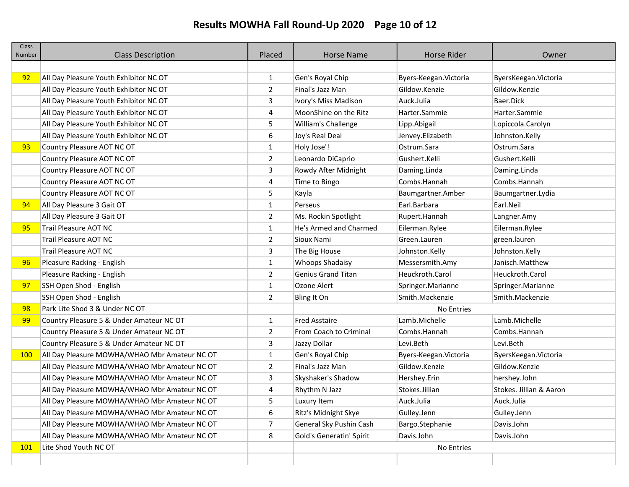# Results MOWHA Fall Round-Up 2020 Page 10 of 12

| <b>Class</b><br>Number | <b>Class Description</b>                      | Placed         | <b>Horse Name</b>         | <b>Horse Rider</b>     | Owner                   |
|------------------------|-----------------------------------------------|----------------|---------------------------|------------------------|-------------------------|
|                        |                                               |                |                           |                        |                         |
| 92                     | All Day Pleasure Youth Exhibitor NC OT        | 1              | Gen's Royal Chip          | Byers-Keegan. Victoria | ByersKeegan. Victoria   |
|                        | All Day Pleasure Youth Exhibitor NC OT        | $\overline{2}$ | Final's Jazz Man          | Gildow.Kenzie          | Gildow.Kenzie           |
|                        | All Day Pleasure Youth Exhibitor NC OT        | 3              | Ivory's Miss Madison      | Auck.Julia             | Baer.Dick               |
|                        | All Day Pleasure Youth Exhibitor NC OT        | 4              | MoonShine on the Ritz     | Harter.Sammie          | Harter.Sammie           |
|                        | All Day Pleasure Youth Exhibitor NC OT        | 5              | William's Challenge       | Lipp.Abigail           | Lopiccola.Carolyn       |
|                        | All Day Pleasure Youth Exhibitor NC OT        | 6              | Joy's Real Deal           | Jenvey.Elizabeth       | Johnston.Kelly          |
| 93                     | Country Pleasure AOT NC OT                    | 1              | Holy Jose'!               | Ostrum.Sara            | Ostrum.Sara             |
|                        | Country Pleasure AOT NC OT                    | 2              | Leonardo DiCaprio         | Gushert.Kelli          | Gushert.Kelli           |
|                        | Country Pleasure AOT NC OT                    | 3              | Rowdy After Midnight      | Daming.Linda           | Daming.Linda            |
|                        | Country Pleasure AOT NC OT                    | 4              | Time to Bingo             | Combs.Hannah           | Combs.Hannah            |
|                        | Country Pleasure AOT NC OT                    | 5              | Kayla                     | Baumgartner.Amber      | Baumgartner.Lydia       |
| 94                     | All Day Pleasure 3 Gait OT                    | $\mathbf{1}$   | Perseus                   | Earl.Barbara           | Earl.Neil               |
|                        | All Day Pleasure 3 Gait OT                    | 2              | Ms. Rockin Spotlight      | Rupert.Hannah          | Langner.Amy             |
| 95                     | Trail Pleasure AOT NC                         | $\mathbf{1}$   | He's Armed and Charmed    | Eilerman.Rylee         | Eilerman.Rylee          |
|                        | <b>Trail Pleasure AOT NC</b>                  | $\overline{2}$ | Sioux Nami                | Green.Lauren           | green.lauren            |
|                        | Trail Pleasure AOT NC                         | 3              | The Big House             | Johnston.Kelly         | Johnston.Kelly          |
| 96                     | Pleasure Racking - English                    | $\mathbf{1}$   | Whoops Shadaisy           | Messersmith.Amy        | Janisch.Matthew         |
|                        | Pleasure Racking - English                    | 2              | <b>Genius Grand Titan</b> | Heuckroth.Carol        | Heuckroth.Carol         |
| 97                     | SSH Open Shod - English                       | $\mathbf{1}$   | Ozone Alert               | Springer.Marianne      | Springer.Marianne       |
|                        | SSH Open Shod - English                       | 2              | Bling It On               | Smith.Mackenzie        | Smith.Mackenzie         |
| 98                     | Park Lite Shod 3 & Under NC OT                |                |                           | No Entries             |                         |
| 99                     | Country Pleasure 5 & Under Amateur NC OT      | $\mathbf{1}$   | <b>Fred Asstaire</b>      | Lamb.Michelle          | Lamb.Michelle           |
|                        | Country Pleasure 5 & Under Amateur NC OT      | 2              | From Coach to Criminal    | Combs.Hannah           | Combs.Hannah            |
|                        | Country Pleasure 5 & Under Amateur NC OT      | 3              | Jazzy Dollar              | Levi.Beth              | Levi.Beth               |
| 100                    | All Day Pleasure MOWHA/WHAO Mbr Amateur NC OT | $\mathbf{1}$   | Gen's Royal Chip          | Byers-Keegan. Victoria | ByersKeegan. Victoria   |
|                        | All Day Pleasure MOWHA/WHAO Mbr Amateur NC OT | $\overline{2}$ | Final's Jazz Man          | Gildow.Kenzie          | Gildow.Kenzie           |
|                        | All Day Pleasure MOWHA/WHAO Mbr Amateur NC OT | 3              | Skyshaker's Shadow        | Hershey.Erin           | hershey.John            |
|                        | All Day Pleasure MOWHA/WHAO Mbr Amateur NC OT | 4              | Rhythm N Jazz             | Stokes.Jillian         | Stokes. Jillian & Aaron |
|                        | All Day Pleasure MOWHA/WHAO Mbr Amateur NC OT | 5              | Luxury Item               | Auck.Julia             | Auck.Julia              |
|                        | All Day Pleasure MOWHA/WHAO Mbr Amateur NC OT | 6              | Ritz's Midnight Skye      | Gulley.Jenn            | Gulley.Jenn             |
|                        | All Day Pleasure MOWHA/WHAO Mbr Amateur NC OT | $\overline{7}$ | General Sky Pushin Cash   | Bargo.Stephanie        | Davis.John              |
|                        | All Day Pleasure MOWHA/WHAO Mbr Amateur NC OT | 8              | Gold's Generatin' Spirit  | Davis.John             | Davis.John              |
| 101                    | Lite Shod Youth NC OT                         |                |                           | No Entries             |                         |
|                        |                                               |                |                           |                        |                         |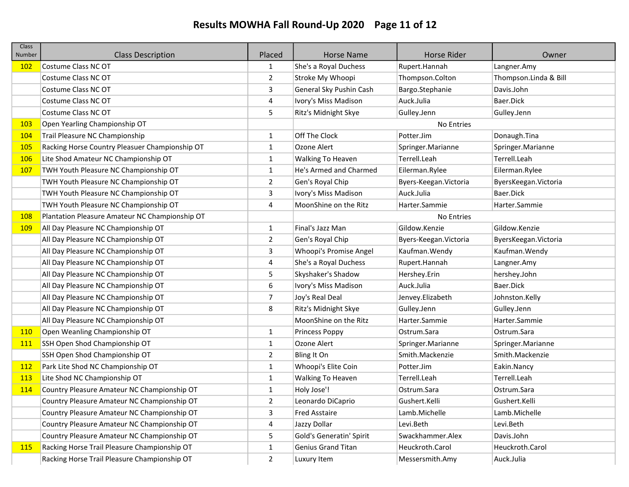## Results MOWHA Fall Round-Up 2020 Page 11 of 12

| <b>Class</b><br>Number | <b>Class Description</b>                       | Placed       | <b>Horse Name</b>         | <b>Horse Rider</b>     | Owner                 |
|------------------------|------------------------------------------------|--------------|---------------------------|------------------------|-----------------------|
| 102                    | Costume Class NC OT                            | 1            | She's a Royal Duchess     | Rupert.Hannah          | Langner.Amy           |
|                        | Costume Class NC OT                            | 2            | Stroke My Whoopi          | Thompson.Colton        | Thompson.Linda & Bill |
|                        | Costume Class NC OT                            | 3            | General Sky Pushin Cash   | Bargo.Stephanie        | Davis.John            |
|                        | Costume Class NC OT                            | 4            | Ivory's Miss Madison      | Auck.Julia             | Baer.Dick             |
|                        | Costume Class NC OT                            | 5            | Ritz's Midnight Skye      | Gulley.Jenn            | Gulley.Jenn           |
| <b>103</b>             | Open Yearling Championship OT                  |              |                           | No Entries             |                       |
| <b>104</b>             | Trail Pleasure NC Championship                 | 1            | Off The Clock             | Potter.Jim             | Donaugh.Tina          |
| <b>105</b>             | Racking Horse Country Pleasuer Championship OT | $\mathbf{1}$ | Ozone Alert               | Springer.Marianne      | Springer.Marianne     |
| <b>106</b>             | Lite Shod Amateur NC Championship OT           | 1            | <b>Walking To Heaven</b>  | Terrell.Leah           | Terrell.Leah          |
| 107                    | TWH Youth Pleasure NC Championship OT          | $\mathbf{1}$ | He's Armed and Charmed    | Eilerman.Rylee         | Eilerman.Rylee        |
|                        | TWH Youth Pleasure NC Championship OT          | 2            | Gen's Royal Chip          | Byers-Keegan. Victoria | ByersKeegan. Victoria |
|                        | TWH Youth Pleasure NC Championship OT          | 3            | Ivory's Miss Madison      | Auck.Julia             | Baer.Dick             |
|                        | TWH Youth Pleasure NC Championship OT          | 4            | MoonShine on the Ritz     | Harter.Sammie          | Harter.Sammie         |
| <b>108</b>             | Plantation Pleasure Amateur NC Championship OT |              |                           | No Entries             |                       |
| <b>109</b>             | All Day Pleasure NC Championship OT            | $\mathbf{1}$ | Final's Jazz Man          | Gildow.Kenzie          | Gildow.Kenzie         |
|                        | All Day Pleasure NC Championship OT            | 2            | Gen's Royal Chip          | Byers-Keegan. Victoria | ByersKeegan. Victoria |
|                        | All Day Pleasure NC Championship OT            | 3            | Whoopi's Promise Angel    | Kaufman. Wendy         | Kaufman. Wendy        |
|                        | All Day Pleasure NC Championship OT            | 4            | She's a Royal Duchess     | Rupert.Hannah          | Langner.Amy           |
|                        | All Day Pleasure NC Championship OT            | 5            | Skyshaker's Shadow        | Hershey.Erin           | hershey.John          |
|                        | All Day Pleasure NC Championship OT            | 6            | Ivory's Miss Madison      | Auck.Julia             | Baer.Dick             |
|                        | All Day Pleasure NC Championship OT            | 7            | Joy's Real Deal           | Jenvey.Elizabeth       | Johnston.Kelly        |
|                        | All Day Pleasure NC Championship OT            | 8            | Ritz's Midnight Skye      | Gulley.Jenn            | Gulley.Jenn           |
|                        | All Day Pleasure NC Championship OT            |              | MoonShine on the Ritz     | Harter.Sammie          | Harter.Sammie         |
| <b>110</b>             | Open Weanling Championship OT                  | $\mathbf{1}$ | Princess Poppy            | Ostrum.Sara            | Ostrum.Sara           |
| <b>111</b>             | SSH Open Shod Championship OT                  | $\mathbf{1}$ | Ozone Alert               | Springer.Marianne      | Springer.Marianne     |
|                        | SSH Open Shod Championship OT                  | 2            | Bling It On               | Smith.Mackenzie        | Smith.Mackenzie       |
| <b>112</b>             | Park Lite Shod NC Championship OT              | $\mathbf{1}$ | Whoopi's Elite Coin       | Potter.Jim             | Eakin.Nancy           |
| <b>113</b>             | Lite Shod NC Championship OT                   | 1            | Walking To Heaven         | Terrell.Leah           | Terrell.Leah          |
| 114                    | Country Pleasure Amateur NC Championship OT    | $\mathbf{1}$ | Holy Jose'!               | Ostrum.Sara            | Ostrum.Sara           |
|                        | Country Pleasure Amateur NC Championship OT    | 2            | Leonardo DiCaprio         | Gushert.Kelli          | Gushert.Kelli         |
|                        | Country Pleasure Amateur NC Championship OT    | 3            | <b>Fred Asstaire</b>      | Lamb.Michelle          | Lamb.Michelle         |
|                        | Country Pleasure Amateur NC Championship OT    | 4            | Jazzy Dollar              | Levi.Beth              | Levi.Beth             |
|                        | Country Pleasure Amateur NC Championship OT    | 5            | Gold's Generatin' Spirit  | Swackhammer.Alex       | Davis.John            |
| <b>115</b>             | Racking Horse Trail Pleasure Championship OT   | $\mathbf{1}$ | <b>Genius Grand Titan</b> | Heuckroth.Carol        | Heuckroth.Carol       |
|                        | Racking Horse Trail Pleasure Championship OT   | $\mathbf{2}$ | Luxury Item               | Messersmith.Amy        | Auck.Julia            |